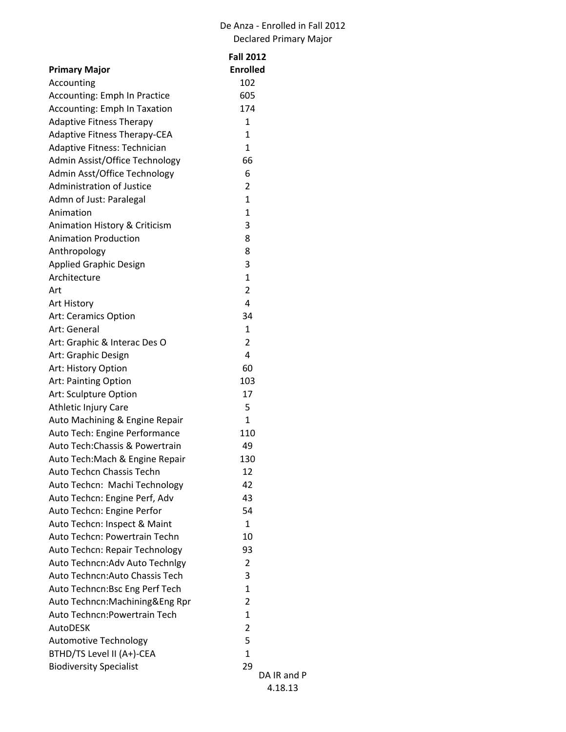## De Anza - Enrolled in Fall 2012 Declared Primary Major

|                                     | <b>Fall 2012</b> |
|-------------------------------------|------------------|
| <b>Primary Major</b>                | <b>Enrolled</b>  |
| Accounting                          | 102              |
| Accounting: Emph In Practice        | 605              |
| <b>Accounting: Emph In Taxation</b> | 174              |
| <b>Adaptive Fitness Therapy</b>     | 1                |
| <b>Adaptive Fitness Therapy-CEA</b> | $\mathbf{1}$     |
| Adaptive Fitness: Technician        | $\mathbf{1}$     |
| Admin Assist/Office Technology      | 66               |
| Admin Asst/Office Technology        | 6                |
| <b>Administration of Justice</b>    | 2                |
| Admn of Just: Paralegal             | $\mathbf{1}$     |
| Animation                           | $\mathbf{1}$     |
| Animation History & Criticism       | 3                |
| <b>Animation Production</b>         | 8                |
| Anthropology                        | 8                |
| <b>Applied Graphic Design</b>       | 3                |
| Architecture                        | $\mathbf{1}$     |
| Art                                 | $\overline{2}$   |
| Art History                         | 4                |
| Art: Ceramics Option                | 34               |
| Art: General                        | $\mathbf{1}$     |
| Art: Graphic & Interac Des O        | $\overline{2}$   |
| Art: Graphic Design                 | 4                |
| Art: History Option                 | 60               |
| Art: Painting Option                | 103              |
| Art: Sculpture Option               | 17               |
| Athletic Injury Care                | 5                |
| Auto Machining & Engine Repair      | $\mathbf{1}$     |
| Auto Tech: Engine Performance       | 110              |
| Auto Tech: Chassis & Powertrain     | 49               |
| Auto Tech: Mach & Engine Repair     | 130              |
| Auto Techcn Chassis Techn           | 12               |
| Auto Techcn: Machi Technology       | 42               |
| Auto Techcn: Engine Perf, Adv       | 43               |
| Auto Techcn: Engine Perfor          | 54               |
| Auto Techcn: Inspect & Maint        | $\mathbf{1}$     |
| Auto Techcn: Powertrain Techn       | 10               |
| Auto Techcn: Repair Technology      | 93               |
| Auto Techncn: Adv Auto Technlgy     | 2                |
| Auto Techncn: Auto Chassis Tech     | 3                |
| Auto Techncn: Bsc Eng Perf Tech     | 1                |
| Auto Techncn: Machining & Eng Rpr   | 2                |
| Auto Techncn: Powertrain Tech       | $\mathbf{1}$     |
| <b>AutoDESK</b>                     | $\overline{2}$   |
| <b>Automotive Technology</b>        | 5                |
| BTHD/TS Level II (A+)-CEA           | $\mathbf{1}$     |
| <b>Biodiversity Specialist</b>      | 29               |
|                                     | DA               |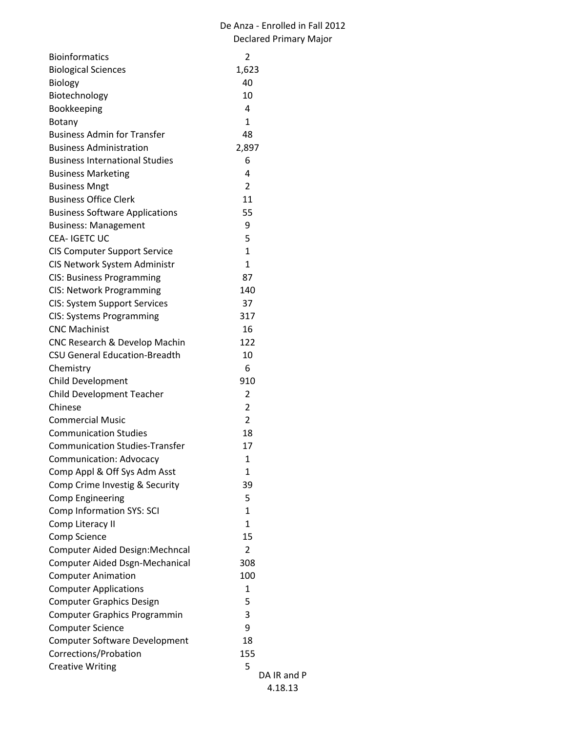| <b>Bioinformatics</b>                  | 2              |
|----------------------------------------|----------------|
| <b>Biological Sciences</b>             | 1,623          |
| <b>Biology</b>                         | 40             |
| Biotechnology                          | 10             |
| Bookkeeping                            | 4              |
| Botany                                 | 1              |
| <b>Business Admin for Transfer</b>     | 48             |
| <b>Business Administration</b>         | 2,897          |
| <b>Business International Studies</b>  | 6              |
| <b>Business Marketing</b>              | 4              |
| <b>Business Mngt</b>                   | 2              |
| <b>Business Office Clerk</b>           | 11             |
| <b>Business Software Applications</b>  | 55             |
| <b>Business: Management</b>            | 9              |
| CEA-IGETCUC                            | 5              |
| <b>CIS Computer Support Service</b>    | 1              |
| CIS Network System Administr           | $\mathbf{1}$   |
| <b>CIS: Business Programming</b>       | 87             |
| CIS: Network Programming               | 140            |
| <b>CIS: System Support Services</b>    | 37             |
| <b>CIS: Systems Programming</b>        | 317            |
| <b>CNC Machinist</b>                   | 16             |
| CNC Research & Develop Machin          | 122            |
| <b>CSU General Education-Breadth</b>   | 10             |
| Chemistry                              | 6              |
| Child Development                      | 910            |
| <b>Child Development Teacher</b>       | 2              |
| Chinese                                | 2              |
| <b>Commercial Music</b>                | $\overline{2}$ |
| <b>Communication Studies</b>           | 18             |
| <b>Communication Studies-Transfer</b>  | 17             |
| Communication: Advocacy                | 1              |
| Comp Appl & Off Sys Adm Asst           | 1              |
| Comp Crime Investig & Security         | 39             |
| <b>Comp Engineering</b>                | 5              |
| <b>Comp Information SYS: SCI</b>       | $\mathbf{1}$   |
| Comp Literacy II                       | 1              |
| <b>Comp Science</b>                    | 15             |
| <b>Computer Aided Design: Mechncal</b> | $\overline{2}$ |
| Computer Aided Dsgn-Mechanical         | 308            |
| <b>Computer Animation</b>              | 100            |
| <b>Computer Applications</b>           | 1              |
| <b>Computer Graphics Design</b>        | 5              |
| <b>Computer Graphics Programmin</b>    | 3              |
| <b>Computer Science</b>                | 9              |
| <b>Computer Software Development</b>   | 18             |
| Corrections/Probation                  | 155            |
| <b>Creative Writing</b>                | 5              |
|                                        | DA IR and P    |
|                                        | 4.18.13        |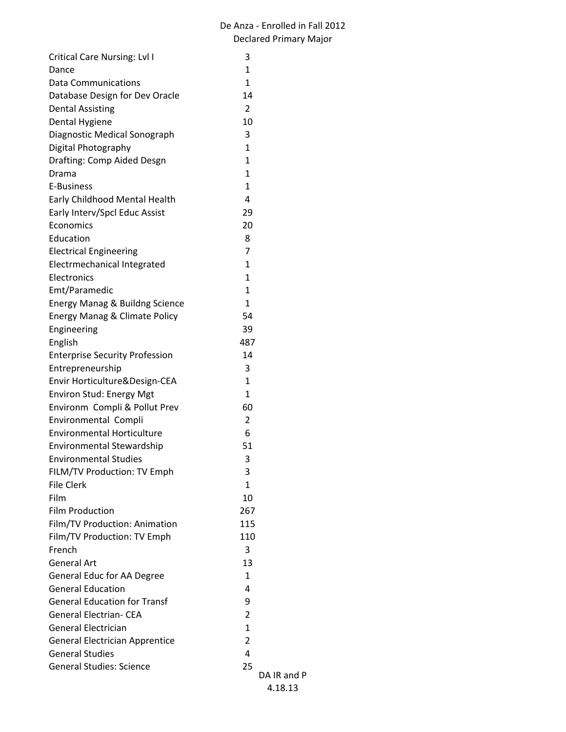| <b>Critical Care Nursing: Lvl I</b>      | 3              |
|------------------------------------------|----------------|
| Dance                                    | $\mathbf{1}$   |
| Data Communications                      | 1              |
| Database Design for Dev Oracle           | 14             |
| <b>Dental Assisting</b>                  | $\overline{2}$ |
| Dental Hygiene                           | 10             |
| Diagnostic Medical Sonograph             | 3              |
| Digital Photography                      | $\mathbf{1}$   |
| Drafting: Comp Aided Desgn               | $\mathbf{1}$   |
| Drama                                    | $\mathbf{1}$   |
| E-Business                               | $\mathbf{1}$   |
| Early Childhood Mental Health            | 4              |
| Early Interv/Spcl Educ Assist            | 29             |
| Economics                                | 20             |
| Education                                | 8              |
| <b>Electrical Engineering</b>            | $\overline{7}$ |
| Electrmechanical Integrated              | $\mathbf{1}$   |
| <b>Flectronics</b>                       | 1              |
| Emt/Paramedic                            | 1              |
| Energy Manag & Buildng Science           | $\mathbf{1}$   |
| <b>Energy Manag &amp; Climate Policy</b> | 54             |
| Engineering                              | 39             |
| English                                  | 487            |
| <b>Enterprise Security Profession</b>    | 14             |
| Entrepreneurship                         | 3              |
| Envir Horticulture&Design-CEA            | $\mathbf{1}$   |
| <b>Environ Stud: Energy Mgt</b>          | $\mathbf{1}$   |
| Environm Compli & Pollut Prev            | 60             |
| <b>Environmental Compli</b>              | $\overline{2}$ |
| <b>Environmental Horticulture</b>        | 6              |
| <b>Environmental Stewardship</b>         | 51             |
| <b>Environmental Studies</b>             | 3              |
| FILM/TV Production: TV Emph              | 3              |
| <b>File Clerk</b>                        | $\mathbf{1}$   |
| Film                                     | 10             |
| <b>Film Production</b>                   | 267            |
| Film/TV Production: Animation            | 115            |
| Film/TV Production: TV Emph              | 110            |
| French                                   | 3              |
| General Art                              | 13             |
| General Educ for AA Degree               | 1              |
| <b>General Education</b>                 | 4              |
| <b>General Education for Transf</b>      | 9              |
| <b>General Electrian- CEA</b>            | $\overline{2}$ |
| <b>General Electrician</b>               | $\mathbf{1}$   |
| <b>General Electrician Apprentice</b>    | $\overline{2}$ |
| <b>General Studies</b>                   | 4              |
| <b>General Studies: Science</b>          | 25             |
|                                          | DA I           |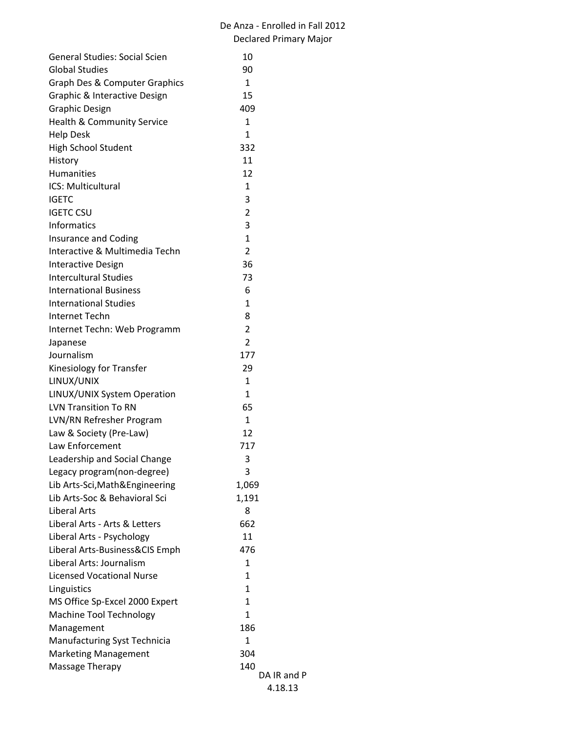| <b>General Studies: Social Scien</b> | 10             |
|--------------------------------------|----------------|
| <b>Global Studies</b>                | 90             |
| Graph Des & Computer Graphics        | $\mathbf{1}$   |
| Graphic & Interactive Design         | 15             |
| <b>Graphic Design</b>                | 409            |
| Health & Community Service           | 1              |
| <b>Help Desk</b>                     | 1              |
| High School Student                  | 332            |
| History                              | 11             |
| <b>Humanities</b>                    | 12             |
| ICS: Multicultural                   | 1              |
| <b>IGETC</b>                         | 3              |
| <b>IGETC CSU</b>                     | $\overline{2}$ |
| <b>Informatics</b>                   | 3              |
| Insurance and Coding                 | $\mathbf{1}$   |
| Interactive & Multimedia Techn       | $\overline{2}$ |
| <b>Interactive Design</b>            | 36             |
| <b>Intercultural Studies</b>         | 73             |
| <b>International Business</b>        | 6              |
| <b>International Studies</b>         | 1              |
| Internet Techn                       | 8              |
| Internet Techn: Web Programm         | $\overline{2}$ |
| Japanese                             | $\overline{2}$ |
| Journalism                           | 177            |
| Kinesiology for Transfer             | 29             |
| LINUX/UNIX                           | 1              |
| LINUX/UNIX System Operation          | $\mathbf{1}$   |
| <b>LVN Transition To RN</b>          | 65             |
| LVN/RN Refresher Program             | $\mathbf{1}$   |
| Law & Society (Pre-Law)              | 12             |
| Law Enforcement                      | 717            |
| Leadership and Social Change         | 3              |
| Legacy program(non-degree)           | 3              |
| Lib Arts-Sci, Math & Engineering     | 1,069          |
| Lib Arts-Soc & Behavioral Sci        | 1,191          |
| Liberal Arts                         | 8              |
| Liberal Arts - Arts & Letters        | 662            |
| Liberal Arts - Psychology            | 11             |
| Liberal Arts-Business&CIS Emph       | 476            |
| Liberal Arts: Journalism             | 1              |
| <b>Licensed Vocational Nurse</b>     | $\mathbf{1}$   |
| Linguistics                          | $\mathbf{1}$   |
| MS Office Sp-Excel 2000 Expert       | $\mathbf{1}$   |
| Machine Tool Technology              | $\mathbf{1}$   |
| Management                           | 186            |
| Manufacturing Syst Technicia         | 1              |
| <b>Marketing Management</b>          | 304            |
| Massage Therapy                      | 140            |
|                                      | DA IR and P    |
|                                      | 4.18.13        |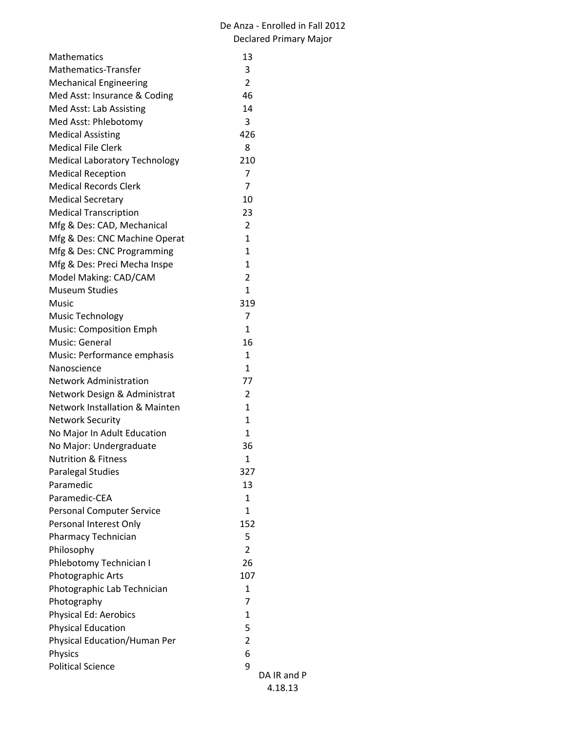| <b>Mathematics</b>                        | 13             |
|-------------------------------------------|----------------|
| <b>Mathematics-Transfer</b>               | 3              |
| <b>Mechanical Engineering</b>             | $\overline{2}$ |
| Med Asst: Insurance & Coding              | 46             |
| Med Asst: Lab Assisting                   | 14             |
| Med Asst: Phlebotomy                      | 3              |
| <b>Medical Assisting</b>                  | 426            |
| <b>Medical File Clerk</b>                 | 8              |
| <b>Medical Laboratory Technology</b>      | 210            |
| <b>Medical Reception</b>                  | 7              |
| <b>Medical Records Clerk</b>              | 7              |
| <b>Medical Secretary</b>                  | 10             |
| <b>Medical Transcription</b>              | 23             |
| Mfg & Des: CAD, Mechanical                | $\overline{2}$ |
| Mfg & Des: CNC Machine Operat             | $\mathbf{1}$   |
| Mfg & Des: CNC Programming                | $\mathbf{1}$   |
| Mfg & Des: Preci Mecha Inspe              | $\mathbf{1}$   |
| Model Making: CAD/CAM                     | $\overline{2}$ |
| <b>Museum Studies</b>                     | $\mathbf{1}$   |
| Music                                     | 319            |
| Music Technology                          | 7              |
| Music: Composition Emph                   | $\mathbf{1}$   |
| Music: General                            | 16             |
| Music: Performance emphasis               | 1              |
| Nanoscience                               | $\mathbf{1}$   |
| <b>Network Administration</b>             | 77             |
| Network Design & Administrat              | 2              |
| <b>Network Installation &amp; Mainten</b> | $\mathbf{1}$   |
| <b>Network Security</b>                   | 1              |
| No Major In Adult Education               | $\mathbf{1}$   |
| No Major: Undergraduate                   | 36             |
| <b>Nutrition &amp; Fitness</b>            | 1              |
| <b>Paralegal Studies</b>                  | 327            |
| Paramedic                                 | 13             |
| Paramedic-CEA                             | $\mathbf{1}$   |
| <b>Personal Computer Service</b>          | $\mathbf{1}$   |
| Personal Interest Only                    | 152            |
| Pharmacy Technician                       | 5              |
| Philosophy                                | $\overline{2}$ |
| Phlebotomy Technician I                   | 26             |
| Photographic Arts                         | 107            |
| Photographic Lab Technician               | $\mathbf{1}$   |
| Photography                               | 7              |
| Physical Ed: Aerobics                     | 1              |
| <b>Physical Education</b>                 | 5              |
| Physical Education/Human Per              | $\overline{2}$ |
| <b>Physics</b>                            | 6              |
| <b>Political Science</b>                  | 9              |
|                                           | DA I           |